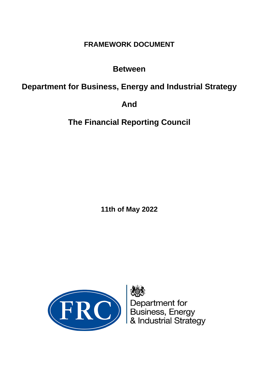# **FRAMEWORK DOCUMENT**

# **Between**

# **Department for Business, Energy and Industrial Strategy**

# **And**

# **The Financial Reporting Council**

**11th of May 2022**



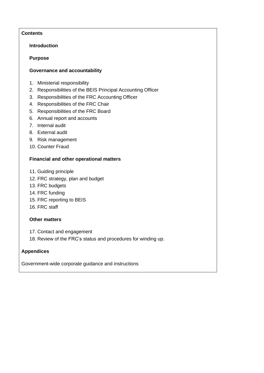# **Contents**

#### **Introduction**

#### **Purpose**

#### **Governance and accountability**

- 1. Ministerial responsibility
- 2. Responsibilities of the BEIS Principal Accounting Officer
- 3. Responsibilities of the FRC Accounting Officer
- 4. Responsibilities of the FRC Chair
- 5. Responsibilities of the FRC Board
- 6. Annual report and accounts
- 7. Internal audit
- 8. External audit
- 9. Risk management
- 10. Counter Fraud

### **Financial and other operational matters**

- 11. Guiding principle
- 12. FRC strategy, plan and budget
- 13. FRC budgets
- 14. FRC funding
- 15. FRC reporting to BEIS
- 16. FRC staff

### **Other matters**

- 17. Contact and engagement
- 18. Review of the FRC's status and procedures for winding up.

### **Appendices**

Government-wide corporate guidance and instructions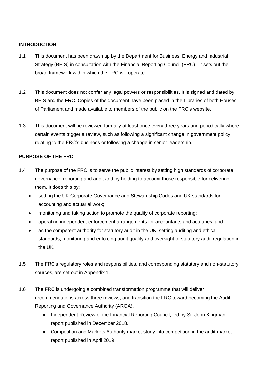### **INTRODUCTION**

- 1.1 This document has been drawn up by the Department for Business, Energy and Industrial Strategy (BEIS) in consultation with the Financial Reporting Council (FRC). It sets out the broad framework within which the FRC will operate.
- 1.2 This document does not confer any legal powers or responsibilities. It is signed and dated by BEIS and the FRC. Copies of the document have been placed in the Libraries of both Houses of Parliament and made available to members of the public on the FRC's website.
- 1.3 This document will be reviewed formally at least once every three years and periodically where certain events trigger a review, such as following a significant change in government policy relating to the FRC's business or following a change in senior leadership.

### **PURPOSE OF THE FRC**

- 1.4 The purpose of the FRC is to serve the public interest by setting high standards of corporate governance, reporting and audit and by holding to account those responsible for delivering them. It does this by:
	- setting the UK Corporate Governance and Stewardship Codes and UK standards for accounting and actuarial work;
	- monitoring and taking action to promote the quality of corporate reporting;
	- operating independent enforcement arrangements for accountants and actuaries; and
	- as the competent authority for statutory audit in the UK, setting auditing and ethical standards, monitoring and enforcing audit quality and oversight of statutory audit regulation in the UK.
- 1.5 The FRC's regulatory roles and responsibilities, and corresponding statutory and non-statutory sources, are set out in Appendix 1.
- 1.6 The FRC is undergoing a combined transformation programme that will deliver recommendations across three reviews, and transition the FRC toward becoming the Audit, Reporting and Governance Authority (ARGA).
	- Independent Review of the Financial Reporting Council, led by Sir John Kingman report published in December 2018.
	- Competition and Markets Authority market study into competition in the audit market report published in April 2019.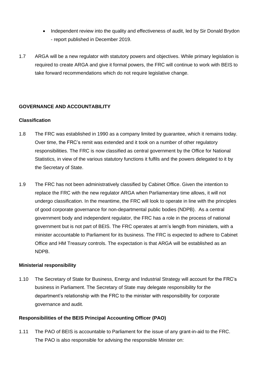- Independent review into the quality and effectiveness of audit, led by Sir Donald Brydon - report published in December 2019.
- 1.7 ARGA will be a new regulator with statutory powers and objectives. While primary legislation is required to create ARGA and give it formal powers, the FRC will continue to work with BEIS to take forward recommendations which do not require legislative change.

#### **GOVERNANCE AND ACCOUNTABILITY**

#### **Classification**

- 1.8 The FRC was established in 1990 as a company limited by guarantee, which it remains today. Over time, the FRC's remit was extended and it took on a number of other regulatory responsibilities. The FRC is now classified as central government by the Office for National Statistics, in view of the various statutory functions it fulfils and the powers delegated to it by the Secretary of State.
- 1.9 The FRC has not been administratively classified by Cabinet Office. Given the intention to replace the FRC with the new regulator ARGA when Parliamentary time allows, it will not undergo classification. In the meantime, the FRC will look to operate in line with the principles of good corporate governance for non-departmental public bodies (NDPB). As a central government body and independent regulator, the FRC has a role in the process of national government but is not part of BEIS. The FRC operates at arm's length from ministers, with a minister accountable to Parliament for its business. The FRC is expected to adhere to Cabinet Office and HM Treasury controls. The expectation is that ARGA will be established as an NDPB.

#### **Ministerial responsibility**

1.10 The Secretary of State for Business, Energy and Industrial Strategy will account for the FRC's business in Parliament. The Secretary of State may delegate responsibility for the department's relationship with the FRC to the minister with responsibility for corporate governance and audit.

#### **Responsibilities of the BEIS Principal Accounting Officer (PAO)**

1.11 The PAO of BEIS is accountable to Parliament for the issue of any grant-in-aid to the FRC. The PAO is also responsible for advising the responsible Minister on: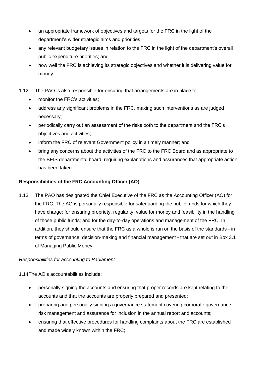- an appropriate framework of objectives and targets for the FRC in the light of the department's wider strategic aims and priorities;
- any relevant budgetary issues in relation to the FRC in the light of the department's overall public expenditure priorities; and
- how well the FRC is achieving its strategic objectives and whether it is delivering value for money.
- 1.12 The PAO is also responsible for ensuring that arrangements are in place to:
	- monitor the FRC's activities;
	- address any significant problems in the FRC, making such interventions as are judged necessary;
	- periodically carry out an assessment of the risks both to the department and the FRC's objectives and activities;
	- inform the FRC of relevant Government policy in a timely manner; and
	- bring any concerns about the activities of the FRC to the FRC Board and as appropriate to the BEIS departmental board, requiring explanations and assurances that appropriate action has been taken.

# **Responsibilities of the FRC Accounting Officer (AO)**

1.13 The PAO has designated the Chief Executive of the FRC as the Accounting Officer (AO) for the FRC. The AO is personally responsible for safeguarding the public funds for which they have charge; for ensuring propriety, regularity, value for money and feasibility in the handling of those public funds; and for the day-to-day operations and management of the FRC. In addition, they should ensure that the FRC as a whole is run on the basis of the standards - in terms of governance, decision-making and financial management - that are set out in Box 3.1 of Managing Public Money.

### *Responsibilities for accounting to Parliament*

1.14The AO's accountabilities include:

- personally signing the accounts and ensuring that proper records are kept relating to the accounts and that the accounts are properly prepared and presented;
- preparing and personally signing a governance statement covering corporate governance, risk management and assurance for inclusion in the annual report and accounts;
- ensuring that effective procedures for handling complaints about the FRC are established and made widely known within the FRC;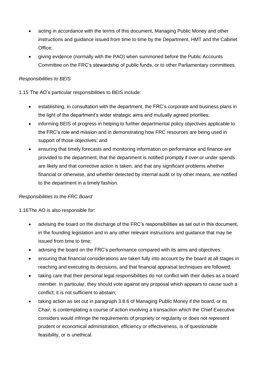- acting in accordance with the terms of this document, Managing Public Money and other instructions and guidance issued from time to time by the Department, HMT and the Cabinet Office;
- giving evidence (normally with the PAO) when summoned before the Public Accounts Committee on the FRC's stewardship of public funds, or to other Parliamentary committees.

# *Responsibilities to BEIS*

1.15 The AO's particular responsibilities to BEIS include:

- establishing, in consultation with the department, the FRC's corporate and business plans in the light of the department's wider strategic aims and mutually agreed priorities;
- informing BEIS of progress in helping to further departmental policy objectives applicable to the FRC's role and mission and in demonstrating how FRC resources are being used in support of those objectives; and
- ensuring that timely forecasts and monitoring information on performance and finance are provided to the department; that the department is notified promptly if over or under spends are likely and that corrective action is taken; and that any significant problems whether financial or otherwise, and whether detected by internal audit or by other means, are notified to the department in a timely fashion.

### *Responsibilities to the FRC Board*

1.16The AO is also responsible for:

- advising the board on the discharge of the FRC's responsibilities as set out in this document, in the founding legislation and in any other relevant instructions and guidance that may be issued from time to time;
- advising the board on the FRC's performance compared with its aims and objectives;
- ensuring that financial considerations are taken fully into account by the board at all stages in reaching and executing its decisions, and that financial appraisal techniques are followed;
- taking care that their personal legal responsibilities do not conflict with their duties as a board member. In particular, they should vote against any proposal which appears to cause such a conflict; it is not sufficient to abstain;
- taking action as set out in paragraph 3.8.6 of Managing Public Money if the board, or its Chair, is contemplating a course of action involving a transaction which the Chief Executive considers would infringe the requirements of propriety or regularity or does not represent prudent or economical administration, efficiency or effectiveness, is of questionable feasibility, or is unethical.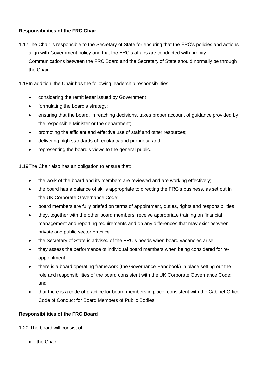# **Responsibilities of the FRC Chair**

- 1.17The Chair is responsible to the Secretary of State for ensuring that the FRC's policies and actions align with Government policy and that the FRC's affairs are conducted with probity. Communications between the FRC Board and the Secretary of State should normally be through the Chair.
- 1.18In addition, the Chair has the following leadership responsibilities:
	- considering the remit letter issued by Government
	- formulating the board's strategy;
	- ensuring that the board, in reaching decisions, takes proper account of guidance provided by the responsible Minister or the department;
	- promoting the efficient and effective use of staff and other resources;
	- delivering high standards of regularity and propriety; and
	- representing the board's views to the general public.

1.19The Chair also has an obligation to ensure that:

- the work of the board and its members are reviewed and are working effectively;
- the board has a balance of skills appropriate to directing the FRC's business, as set out in the UK Corporate Governance Code;
- board members are fully briefed on terms of appointment, duties, rights and responsibilities;
- they, together with the other board members, receive appropriate training on financial management and reporting requirements and on any differences that may exist between private and public sector practice;
- the Secretary of State is advised of the FRC's needs when board vacancies arise;
- they assess the performance of individual board members when being considered for reappointment;
- there is a board operating framework (the Governance Handbook) in place setting out the role and responsibilities of the board consistent with the UK Corporate Governance Code; and
- that there is a code of practice for board members in place, consistent with the Cabinet Office Code of Conduct for Board Members of Public Bodies.

### **Responsibilities of the FRC Board**

1.20 The board will consist of:

• the Chair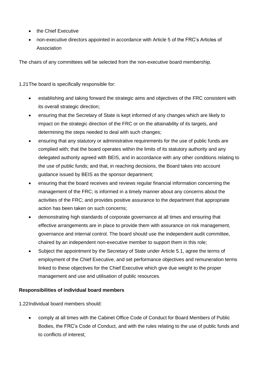- the Chief Executive
- non-executive directors appointed in accordance with Article 5 of the FRC's Articles of Association

The chairs of any committees will be selected from the non-executive board membership.

1.21The board is specifically responsible for:

- establishing and taking forward the strategic aims and objectives of the FRC consistent with its overall strategic direction;
- ensuring that the Secretary of State is kept informed of any changes which are likely to impact on the strategic direction of the FRC or on the attainability of its targets, and determining the steps needed to deal with such changes;
- ensuring that any statutory or administrative requirements for the use of public funds are complied with; that the board operates within the limits of its statutory authority and any delegated authority agreed with BEIS, and in accordance with any other conditions relating to the use of public funds; and that, in reaching decisions, the Board takes into account guidance issued by BEIS as the sponsor department;
- ensuring that the board receives and reviews regular financial information concerning the management of the FRC; is informed in a timely manner about any concerns about the activities of the FRC; and provides positive assurance to the department that appropriate action has been taken on such concerns;
- demonstrating high standards of corporate governance at all times and ensuring that effective arrangements are in place to provide them with assurance on risk management, governance and internal control. The board should use the independent audit committee, chaired by an independent non-executive member to support them in this role;
- Subject the appointment by the Secretary of State under Article 5.1, agree the terms of employment of the Chief Executive, and set performance objectives and remuneration terms linked to these objectives for the Chief Executive which give due weight to the proper management and use and utilisation of public resources.

### **Responsibilities of individual board members**

1.22Individual board members should:

• comply at all times with the Cabinet Office Code of Conduct for Board Members of Public Bodies, the FRC's Code of Conduct, and with the rules relating to the use of public funds and to conflicts of interest;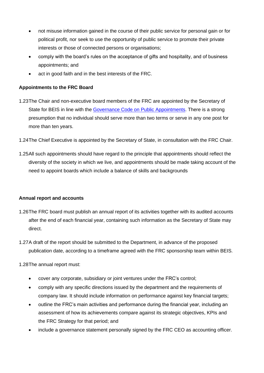- not misuse information gained in the course of their public service for personal gain or for political profit, nor seek to use the opportunity of public service to promote their private interests or those of connected persons or organisations;
- comply with the board's rules on the acceptance of gifts and hospitality, and of business appointments; and
- act in good faith and in the best interests of the FRC.

# **Appointments to the FRC Board**

- 1.23The Chair and non-executive board members of the FRC are appointed by the Secretary of State for BEIS in line with the [Governance Code on](https://publicappointmentscommissioner.independent.gov.uk/regulating-appointments/governance-code/) Public Appointments. There is a strong presumption that no individual should serve more than two terms or serve in any one post for more than ten years.
- 1.24The Chief Executive is appointed by the Secretary of State, in consultation with the FRC Chair.
- 1.25All such appointments should have regard to the principle that appointments should reflect the diversity of the society in which we live, and appointments should be made taking account of the need to appoint boards which include a balance of skills and backgrounds

### **Annual report and accounts**

- 1.26The FRC board must publish an annual report of its activities together with its audited accounts after the end of each financial year, containing such information as the Secretary of State may direct.
- 1.27A draft of the report should be submitted to the Department, in advance of the proposed publication date, according to a timeframe agreed with the FRC sponsorship team within BEIS.

1.28The annual report must:

- cover any corporate, subsidiary or joint ventures under the FRC's control;
- comply with any specific directions issued by the department and the requirements of company law. It should include information on performance against key financial targets;
- outline the FRC's main activities and performance during the financial year, including an assessment of how its achievements compare against its strategic objectives, KPIs and the FRC Strategy for that period; and
- include a governance statement personally signed by the FRC CEO as accounting officer.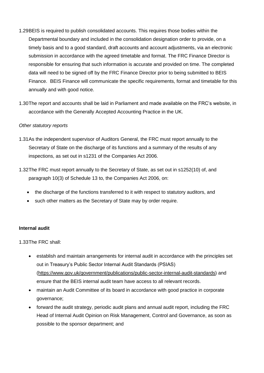- 1.29BEIS is required to publish consolidated accounts. This requires those bodies within the Departmental boundary and included in the consolidation designation order to provide, on a timely basis and to a good standard, draft accounts and account adjustments, via an electronic submission in accordance with the agreed timetable and format. The FRC Finance Director is responsible for ensuring that such information is accurate and provided on time. The completed data will need to be signed off by the FRC Finance Director prior to being submitted to BEIS Finance. BEIS Finance will communicate the specific requirements, format and timetable for this annually and with good notice.
- 1.30The report and accounts shall be laid in Parliament and made available on the FRC's website, in accordance with the Generally Accepted Accounting Practice in the UK.

#### *Other statutory reports*

- 1.31As the independent supervisor of Auditors General, the FRC must report annually to the Secretary of State on the discharge of its functions and a summary of the results of any inspections, as set out in s1231 of the Companies Act 2006.
- 1.32The FRC must report annually to the Secretary of State, as set out in s1252(10) of, and paragraph 10(3) of Schedule 13 to, the Companies Act 2006, on:
	- the discharge of the functions transferred to it with respect to statutory auditors, and
	- such other matters as the Secretary of State may by order require.

#### **Internal audit**

1.33The FRC shall:

- establish and maintain arrangements for internal audit in accordance with the principles set out in Treasury's Public Sector Internal Audit Standards (PSIAS) [\(https://www.gov.uk/government/publications/public-sector-internal-audit-standards\)](https://www.gov.uk/government/publications/public-sector-internal-audit-standards) and ensure that the BEIS internal audit team have access to all relevant records.
- maintain an Audit Committee of its board in accordance with good practice in corporate governance;
- forward the audit strategy, periodic audit plans and annual audit report, including the FRC Head of Internal Audit Opinion on Risk Management, Control and Governance, as soon as possible to the sponsor department; and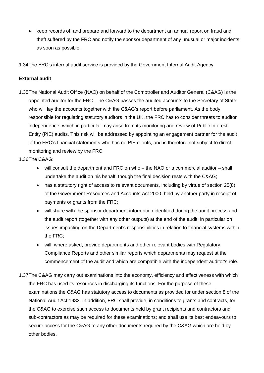• keep records of, and prepare and forward to the department an annual report on fraud and theft suffered by the FRC and notify the sponsor department of any unusual or major incidents as soon as possible.

1.34The FRC's internal audit service is provided by the Government Internal Audit Agency.

# **External audit**

1.35The National Audit Office (NAO) on behalf of the Comptroller and Auditor General (C&AG) is the appointed auditor for the FRC. The C&AG passes the audited accounts to the Secretary of State who will lay the accounts together with the C&AG's report before parliament. As the body responsible for regulating statutory auditors in the UK, the FRC has to consider threats to auditor independence, which in particular may arise from its monitoring and review of Public Interest Entity (PIE) audits. This risk will be addressed by appointing an engagement partner for the audit of the FRC's financial statements who has no PIE clients, and is therefore not subject to direct monitoring and review by the FRC.

1.36The C&AG:

- will consult the department and FRC on who the NAO or a commercial auditor shall undertake the audit on his behalf, though the final decision rests with the C&AG;
- has a statutory right of access to relevant documents, including by virtue of section 25(8) of the Government Resources and Accounts Act 2000, held by another party in receipt of payments or grants from the FRC;
- will share with the sponsor department information identified during the audit process and the audit report (together with any other outputs) at the end of the audit, in particular on issues impacting on the Department's responsibilities in relation to financial systems within the FRC;
- will, where asked, provide departments and other relevant bodies with Regulatory Compliance Reports and other similar reports which departments may request at the commencement of the audit and which are compatible with the independent auditor's role.
- 1.37The C&AG may carry out examinations into the economy, efficiency and effectiveness with which the FRC has used its resources in discharging its functions. For the purpose of these examinations the C&AG has statutory access to documents as provided for under section 8 of the National Audit Act 1983. In addition, FRC shall provide, in conditions to grants and contracts, for the C&AG to exercise such access to documents held by grant recipients and contractors and sub-contractors as may be required for these examinations; and shall use its best endeavours to secure access for the C&AG to any other documents required by the C&AG which are held by other bodies.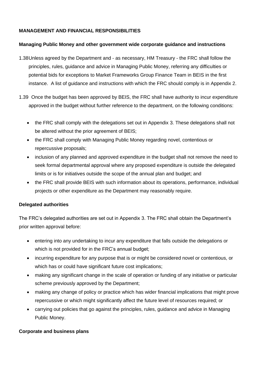### **MANAGEMENT AND FINANCIAL RESPONSIBILITIES**

#### **Managing Public Money and other government wide corporate guidance and instructions**

- 1.38Unless agreed by the Department and as necessary, HM Treasury the FRC shall follow the principles, rules, guidance and advice in Managing Public Money, referring any difficulties or potential bids for exceptions to Market Frameworks Group Finance Team in BEIS in the first instance. A list of guidance and instructions with which the FRC should comply is in Appendix 2.
- 1.39 Once the budget has been approved by BEIS, the FRC shall have authority to incur expenditure approved in the budget without further reference to the department, on the following conditions:
	- the FRC shall comply with the delegations set out in Appendix 3. These delegations shall not be altered without the prior agreement of BEIS;
	- the FRC shall comply with Managing Public Money regarding novel, contentious or repercussive proposals;
	- inclusion of any planned and approved expenditure in the budget shall not remove the need to seek formal departmental approval where any proposed expenditure is outside the delegated limits or is for initiatives outside the scope of the annual plan and budget; and
	- the FRC shall provide BEIS with such information about its operations, performance, individual projects or other expenditure as the Department may reasonably require.

#### **Delegated authorities**

The FRC's delegated authorities are set out in Appendix 3. The FRC shall obtain the Department's prior written approval before:

- entering into any undertaking to incur any expenditure that falls outside the delegations or which is not provided for in the FRC's annual budget;
- incurring expenditure for any purpose that is or might be considered novel or contentious, or which has or could have significant future cost implications;
- making any significant change in the scale of operation or funding of any initiative or particular scheme previously approved by the Department;
- making any change of policy or practice which has wider financial implications that might prove repercussive or which might significantly affect the future level of resources required; or
- carrying out policies that go against the principles, rules, guidance and advice in Managing Public Money.

### **Corporate and business plans**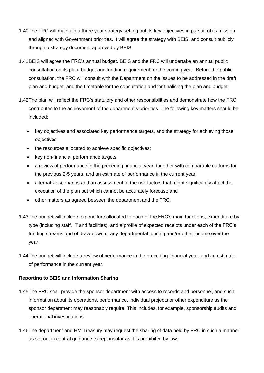- 1.40The FRC will maintain a three year strategy setting out its key objectives in pursuit of its mission and aligned with Government priorities. It will agree the strategy with BEIS, and consult publicly through a strategy document approved by BEIS.
- 1.41BEIS will agree the FRC's annual budget. BEIS and the FRC will undertake an annual public consultation on its plan, budget and funding requirement for the coming year. Before the public consultation, the FRC will consult with the Department on the issues to be addressed in the draft plan and budget, and the timetable for the consultation and for finalising the plan and budget.
- 1.42The plan will reflect the FRC's statutory and other responsibilities and demonstrate how the FRC contributes to the achievement of the department's priorities. The following key matters should be included:
	- key objectives and associated key performance targets, and the strategy for achieving those objectives;
	- the resources allocated to achieve specific objectives;
	- key non-financial performance targets;
	- a review of performance in the preceding financial year, together with comparable outturns for the previous 2-5 years, and an estimate of performance in the current year;
	- alternative scenarios and an assessment of the risk factors that might significantly affect the execution of the plan but which cannot be accurately forecast; and
	- other matters as agreed between the department and the FRC.
- 1.43The budget will include expenditure allocated to each of the FRC's main functions, expenditure by type (including staff, IT and facilities), and a profile of expected receipts under each of the FRC's funding streams and of draw-down of any departmental funding and/or other income over the year.
- 1.44The budget will include a review of performance in the preceding financial year, and an estimate of performance in the current year.

### **Reporting to BEIS and Information Sharing**

- 1.45The FRC shall provide the sponsor department with access to records and personnel, and such information about its operations, performance, individual projects or other expenditure as the sponsor department may reasonably require. This includes, for example, sponsorship audits and operational investigations.
- 1.46The department and HM Treasury may request the sharing of data held by FRC in such a manner as set out in central guidance except insofar as it is prohibited by law.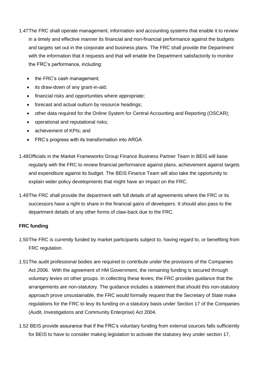- 1.47The FRC shall operate management, information and accounting systems that enable it to review in a timely and effective manner its financial and non-financial performance against the budgets and targets set out in the corporate and business plans. The FRC shall provide the Department with the information that it requests and that will enable the Department satisfactorily to monitor the FRC's performance, including:
	- the FRC's cash management;
	- its draw-down of any grant-in-aid;
	- financial risks and opportunities where appropriate;
	- forecast and actual outturn by resource headings;
	- other data required for the Online System for Central Accounting and Reporting (OSCAR);
	- operational and reputational risks;
	- achievement of KPIs; and
	- FRC's progress with its transformation into ARGA
- 1.48Officials in the Market Frameworks Group Finance Business Partner Team in BEIS will liaise regularly with the FRC to review financial performance against plans, achievement against targets and expenditure against its budget. The BEIS Finance Team will also take the opportunity to explain wider policy developments that might have an impact on the FRC.
- 1.49The FRC shall provide the department with full details of all agreements where the FRC or its successors have a right to share in the financial gains of developers. It should also pass to the department details of any other forms of claw-back due to the FRC.

### **FRC funding**

- 1.50The FRC is currently funded by market participants subject to, having regard to, or benefiting from FRC regulation.
- 1.51The audit professional bodies are required to contribute under the provisions of the Companies Act 2006. With the agreement of HM Government, the remaining funding is secured through voluntary levies on other groups. In collecting these levies, the FRC provides guidance that the arrangements are non-statutory. The guidance includes a statement that should this non-statutory approach prove unsustainable, the FRC would formally request that the Secretary of State make regulations for the FRC to levy its funding on a statutory basis under Section 17 of the Companies (Audit, Investigations and Community Enterprise) Act 2004.
- 1.52 BEIS provide assurance that if the FRC's voluntary funding from external sources falls sufficiently for BEIS to have to consider making legislation to activate the statutory levy under section 17,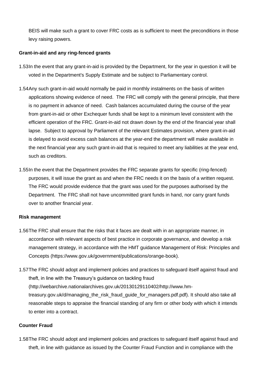BEIS will make such a grant to cover FRC costs as is sufficient to meet the preconditions in those levy raising powers.

#### **Grant-in-aid and any ring-fenced grants**

- 1.53In the event that any grant-in-aid is provided by the Department, for the year in question it will be voted in the Department's Supply Estimate and be subject to Parliamentary control.
- 1.54Any such grant-in-aid would normally be paid in monthly instalments on the basis of written applications showing evidence of need. The FRC will comply with the general principle, that there is no payment in advance of need. Cash balances accumulated during the course of the year from grant-in-aid or other Exchequer funds shall be kept to a minimum level consistent with the efficient operation of the FRC. Grant-in-aid not drawn down by the end of the financial year shall lapse. Subject to approval by Parliament of the relevant Estimates provision, where grant-in-aid is delayed to avoid excess cash balances at the year-end the department will make available in the next financial year any such grant-in-aid that is required to meet any liabilities at the year end, such as creditors.
- 1.55In the event that the Department provides the FRC separate grants for specific (ring-fenced) purposes, it will issue the grant as and when the FRC needs it on the basis of a written request. The FRC would provide evidence that the grant was used for the purposes authorised by the Department. The FRC shall not have uncommitted grant funds in hand, nor carry grant funds over to another financial year.

### **Risk management**

- 1.56The FRC shall ensure that the risks that it faces are dealt with in an appropriate manner, in accordance with relevant aspects of best practice in corporate governance, and develop a risk management strategy, in accordance with the HMT guidance Management of Risk: Principles and Concepts (https://www.gov.uk/government/publications/orange-book).
- 1.57The FRC should adopt and implement policies and practices to safeguard itself against fraud and theft, in line with the Treasury's guidance on tackling fraud [\(http://webarchive.nationalarchives.gov.uk/20130129110402/http://www.hm](http://webarchive.nationalarchives.gov.uk/20130129110402/http:/www.hm-treasury.gov.uk/d/managing_the_risk_fraud_guide_for_managers.pdf.pdf)[treasury.gov.uk/d/managing\\_the\\_risk\\_fraud\\_guide\\_for\\_managers.pdf.pdf\)](http://webarchive.nationalarchives.gov.uk/20130129110402/http:/www.hm-treasury.gov.uk/d/managing_the_risk_fraud_guide_for_managers.pdf.pdf). It should also take all reasonable steps to appraise the financial standing of any firm or other body with which it intends to enter into a contract.

#### **Counter Fraud**

1.58The FRC should adopt and implement policies and practices to safeguard itself against fraud and theft, in line with guidance as issued by the Counter Fraud Function and in compliance with the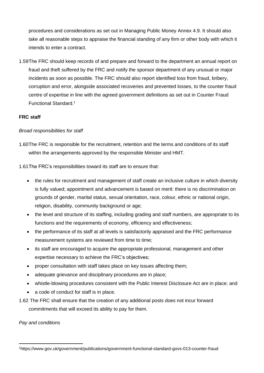procedures and considerations as set out in Managing Public Money Annex 4.9. It should also take all reasonable steps to appraise the financial standing of any firm or other body with which it intends to enter a contract.

1.59The FRC should keep records of and prepare and forward to the department an annual report on fraud and theft suffered by the FRC and notify the sponsor department of any unusual or major incidents as soon as possible. The FRC should also report identified loss from fraud, bribery, corruption and error, alongside associated recoveries and prevented losses, to the counter fraud centre of expertise in line with the agreed government definitions as set out in Counter Fraud Functional Standard.<sup>1</sup>

# **FRC staff**

# *Broad responsibilities for staff*

1.60The FRC is responsible for the recruitment, retention and the terms and conditions of its staff within the arrangements approved by the responsible Minister and HMT.

1.61The FRC's responsibilities toward its staff are to ensure that:

- the rules for recruitment and management of staff create an inclusive culture in which diversity is fully valued; appointment and advancement is based on merit: there is no discrimination on grounds of gender, marital status, sexual orientation, race, colour, ethnic or national origin, religion, disability, community background or age;
- the level and structure of its staffing, including grading and staff numbers, are appropriate to its functions and the requirements of economy, efficiency and effectiveness;
- the performance of its staff at all levels is satisfactorily appraised and the FRC performance measurement systems are reviewed from time to time;
- its staff are encouraged to acquire the appropriate professional, management and other expertise necessary to achieve the FRC's objectives;
- proper consultation with staff takes place on key issues affecting them;
- adequate grievance and disciplinary procedures are in place;
- whistle-blowing procedures consistent with the Public Interest Disclosure Act are in place; and
- a code of conduct for staff is in place.
- 1.62 The FRC shall ensure that the creation of any additional posts does not incur forward commitments that will exceed its ability to pay for them.

*Pay and conditions*

<sup>1</sup>https://www.gov.uk/government/publications/government-functional-standard-govs-013-counter-fraud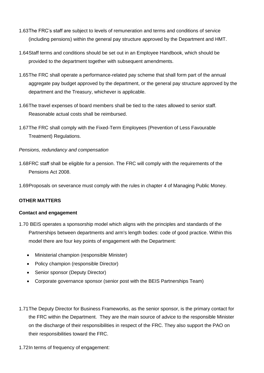- 1.63The FRC's staff are subject to levels of remuneration and terms and conditions of service (including pensions) within the general pay structure approved by the Department and HMT.
- 1.64Staff terms and conditions should be set out in an Employee Handbook, which should be provided to the department together with subsequent amendments.
- 1.65The FRC shall operate a performance-related pay scheme that shall form part of the annual aggregate pay budget approved by the department, or the general pay structure approved by the department and the Treasury, whichever is applicable.
- 1.66The travel expenses of board members shall be tied to the rates allowed to senior staff. Reasonable actual costs shall be reimbursed.
- 1.67The FRC shall comply with the Fixed-Term Employees (Prevention of Less Favourable Treatment) Regulations.

#### *Pensions, redundancy and compensation*

- 1.68FRC staff shall be eligible for a pension. The FRC will comply with the requirements of the Pensions Act 2008.
- 1.69Proposals on severance must comply with the rules in chapter 4 of Managing Public Money.

### **OTHER MATTERS**

#### **Contact and engagement**

- 1.70 BEIS operates a sponsorship model which aligns with the principles and standards of the Partnerships between departments and arm's length bodies: code of good practice. Within this model there are four key points of engagement with the Department:
	- Ministerial champion (responsible Minister)
	- Policy champion (responsible Director)
	- Senior sponsor (Deputy Director)
	- Corporate governance sponsor (senior post with the BEIS Partnerships Team)
- 1.71The Deputy Director for Business Frameworks, as the senior sponsor, is the primary contact for the FRC within the Department. They are the main source of advice to the responsible Minister on the discharge of their responsibilities in respect of the FRC. They also support the PAO on their responsibilities toward the FRC.
- 1.72In terms of frequency of engagement: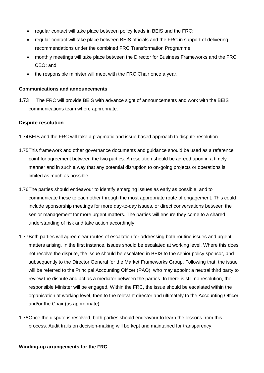- regular contact will take place between policy leads in BEIS and the FRC;
- regular contact will take place between BEIS officials and the FRC in support of delivering recommendations under the combined FRC Transformation Programme.
- monthly meetings will take place between the Director for Business Frameworks and the FRC CEO; and
- the responsible minister will meet with the FRC Chair once a year.

#### **Communications and announcements**

1.73 The FRC will provide BEIS with advance sight of announcements and work with the BEIS communications team where appropriate.

#### **Dispute resolution**

- 1.74BEIS and the FRC will take a pragmatic and issue based approach to dispute resolution.
- 1.75This framework and other governance documents and guidance should be used as a reference point for agreement between the two parties. A resolution should be agreed upon in a timely manner and in such a way that any potential disruption to on-going projects or operations is limited as much as possible.
- 1.76The parties should endeavour to identify emerging issues as early as possible, and to communicate these to each other through the most appropriate route of engagement. This could include sponsorship meetings for more day-to-day issues, or direct conversations between the senior management for more urgent matters. The parties will ensure they come to a shared understanding of risk and take action accordingly.
- 1.77Both parties will agree clear routes of escalation for addressing both routine issues and urgent matters arising. In the first instance, issues should be escalated at working level. Where this does not resolve the dispute, the issue should be escalated in BEIS to the senior policy sponsor, and subsequently to the Director General for the Market Frameworks Group. Following that, the issue will be referred to the Principal Accounting Officer (PAO), who may appoint a neutral third party to review the dispute and act as a mediator between the parties. In there is still no resolution, the responsible Minister will be engaged. Within the FRC, the issue should be escalated within the organisation at working level, then to the relevant director and ultimately to the Accounting Officer and/or the Chair (as appropriate).
- 1.78Once the dispute is resolved, both parties should endeavour to learn the lessons from this process. Audit trails on decision-making will be kept and maintained for transparency.

#### **Winding-up arrangements for the FRC**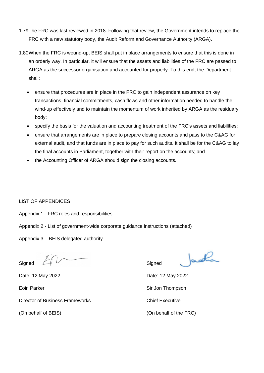- 1.79The FRC was last reviewed in 2018. Following that review, the Government intends to replace the FRC with a new statutory body, the Audit Reform and Governance Authority (ARGA).
- 1.80When the FRC is wound-up, BEIS shall put in place arrangements to ensure that this is done in an orderly way. In particular, it will ensure that the assets and liabilities of the FRC are passed to ARGA as the successor organisation and accounted for properly. To this end, the Department shall:
	- ensure that procedures are in place in the FRC to gain independent assurance on key transactions, financial commitments, cash flows and other information needed to handle the wind-up effectively and to maintain the momentum of work inherited by ARGA as the residuary body;
	- specify the basis for the valuation and accounting treatment of the FRC's assets and liabilities;
	- ensure that arrangements are in place to prepare closing accounts and pass to the C&AG for external audit, and that funds are in place to pay for such audits. It shall be for the C&AG to lay the final accounts in Parliament, together with their report on the accounts; and
	- the Accounting Officer of ARGA should sign the closing accounts.

### LIST OF APPENDICES

Appendix 1 - FRC roles and responsibilities

- Appendix 2 List of government-wide corporate guidance instructions (attached)
- Appendix 3 BEIS delegated authority

Signed  $\angle$   $\parallel$ 

Date: 12 May 2022 Date: 12 May 2022

Director of Business Frameworks **Chief Executive** 

Jacothan

Eoin Parker Sir Jon Thompson

(On behalf of BEIS) (On behalf of the FRC)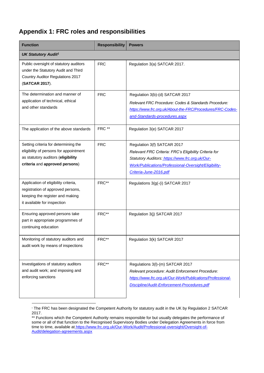# **Appendix 1: FRC roles and responsibilities**

| <b>Function</b>                                                                                                                                        | <b>Responsibility</b> | <b>Powers</b>                                                                                                                                                                                                              |  |  |
|--------------------------------------------------------------------------------------------------------------------------------------------------------|-----------------------|----------------------------------------------------------------------------------------------------------------------------------------------------------------------------------------------------------------------------|--|--|
| <b>UK Statutory Audit<sup>1</sup></b>                                                                                                                  |                       |                                                                                                                                                                                                                            |  |  |
| Public oversight of statutory auditors<br>under the Statutory Audit and Third<br><b>Country Auditor Regulations 2017</b><br>(SATCAR 2017).             | <b>FRC</b>            | Regulation 3(a) SATCAR 2017.                                                                                                                                                                                               |  |  |
| The determination and manner of<br>application of technical, ethical<br>and other standards                                                            | <b>FRC</b>            | Regulation 3(b)-(d) SATCAR 2017<br>Relevant FRC Procedure: Codes & Standards Procedure:<br>https://www.frc.org.uk/About-the-FRC/Procedures/FRC-Codes-<br>and-Standards-procedures.aspx                                     |  |  |
| The application of the above standards                                                                                                                 | FRC **                | Regulation 3(e) SATCAR 2017                                                                                                                                                                                                |  |  |
| Setting criteria for determining the<br>eligibility of persons for appointment<br>as statutory auditors (eligibility<br>criteria and approved persons) | <b>FRC</b>            | Regulation 3(f) SATCAR 2017<br>Relevant FRC Criteria: FRC's Eligibility Criteria for<br>Statutory Auditors: https://www.frc.org.uk/Our-<br>Work/Publications/Professional-Oversight/Eligibility-<br>Criteria-June-2016.pdf |  |  |
| Application of eligibility criteria,<br>registration of approved persons,<br>keeping the register and making<br>it available for inspection            | FRC**                 | Regulations 3(g(-(i) SATCAR 2017                                                                                                                                                                                           |  |  |
| Ensuring approved persons take<br>part in appropriate programmes of<br>continuing education                                                            | FRC**                 | Regulation 3(j) SATCAR 2017                                                                                                                                                                                                |  |  |
| Monitoring of statutory auditors and<br>audit work by means of inspections                                                                             | FRC**                 | Regulation 3(k) SATCAR 2017                                                                                                                                                                                                |  |  |
| Investigations of statutory auditors<br>and audit work; and imposing and<br>enforcing sanctions                                                        | FRC**                 | Regulations 3(I)-(m) SATCAR 2017<br>Relevant procedure: Audit Enforcement Procedure:<br>https://www.frc.org.uk/Our-Work/Publications/Professional-<br>Discipline/Audit-Enforcement-Procedures.pdf                          |  |  |

<sup>&</sup>lt;sup>1</sup> The FRC has been designated the Competent Authority for statutory audit in the UK by Regulation 2 SATCAR 2017.

<sup>\*\*</sup> Functions which the Competent Authority remains responsible for but usually delegates the performance of some or all of that function to the Recognised Supervisory Bodies under Delegation Agreements in force from time to time, available at [https://www.frc.org.uk/Our-Work/Audit/Professional-oversight/Oversight-of-](https://www.frc.org.uk/Our-Work/Audit/Professional-oversight/Oversight-of-Audit/delegation-agreements.aspx)[Audit/delegation-agreements.aspx](https://www.frc.org.uk/Our-Work/Audit/Professional-oversight/Oversight-of-Audit/delegation-agreements.aspx)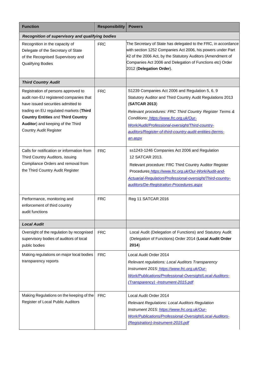| <b>Function</b>                                                                                                                                                                                                                                                                  | <b>Responsibility</b> | <b>Powers</b>                                                                                                                                                                                                                                                                                                                                                    |
|----------------------------------------------------------------------------------------------------------------------------------------------------------------------------------------------------------------------------------------------------------------------------------|-----------------------|------------------------------------------------------------------------------------------------------------------------------------------------------------------------------------------------------------------------------------------------------------------------------------------------------------------------------------------------------------------|
| Recognition of supervisory and qualifying bodies                                                                                                                                                                                                                                 |                       |                                                                                                                                                                                                                                                                                                                                                                  |
| Recognition in the capacity of<br>Delegate of the Secretary of State<br>of the Recognised Supervisory and<br>Qualifying Bodies                                                                                                                                                   | <b>FRC</b>            | The Secretary of State has delegated to the FRC, in accordance<br>with section 1252 Companies Act 2006, his powers under Part<br>42 of the 2006 Act, by the Statutory Auditors (Amendment of<br>Companies Act 2006 and Delegation of Functions etc) Order<br>2012 (Delegation Order).                                                                            |
| <b>Third Country Audit</b>                                                                                                                                                                                                                                                       |                       |                                                                                                                                                                                                                                                                                                                                                                  |
| Registration of persons approved to<br>audit non-EU registered companies that<br>have issued securities admitted to<br>trading on EU regulated markets (Third<br><b>Country Entities and Third Country</b><br>Auditor) and keeping of the Third<br><b>Country Audit Register</b> | <b>FRC</b>            | S1239 Companies Act 2006 and Regulation 5, 6, 9<br>Statutory Auditor and Third Country Audit Regulations 2013<br>(SATCAR 2013)<br>Relevant procedures: FRC Third Country Register Terms &<br>Conditions: https://www.frc.org.uk/Our-<br>Work/Audit/Professional-oversight/Third-country-<br>auditors/Register-of-third-country-audit-entities-(terms-<br>an.aspx |
| Calls for notification or information from<br>Third Country Auditors, issuing<br>Compliance Orders and removal from<br>the Third Country Audit Register                                                                                                                          | <b>FRC</b>            | ss1243-1246 Companies Act 2006 and Regulation<br>12 SATCAR 2013.<br>Relevant procedure: FRC Third Country Auditor Register<br>Procedures_https://www.frc.org.uk/Our-Work/Audit-and-<br>Actuarial-Regulation/Professional-oversight/Third-country-<br>auditors/De-Registration-Procedures.aspx                                                                    |
| Performance, monitoring and<br>enforcement of third country<br>audit functions                                                                                                                                                                                                   | <b>FRC</b>            | Reg 11 SATCAR 2016                                                                                                                                                                                                                                                                                                                                               |
| <b>Local Audit</b>                                                                                                                                                                                                                                                               |                       |                                                                                                                                                                                                                                                                                                                                                                  |
| Oversight of the regulation by recognised<br>supervisory bodies of auditors of local<br>public bodies                                                                                                                                                                            | <b>FRC</b>            | Local Audit (Delegation of Functions) and Statutory Audit<br>(Delegation of Functions) Order 2014 (Local Audit Order<br>2014)                                                                                                                                                                                                                                    |
| Making regulations on major local bodies<br>transparency reports                                                                                                                                                                                                                 | <b>FRC</b>            | Local Audit Order 2014<br>Relevant regulations: Local Auditors Transparency<br>Instrument 2015: https://www.frc.org.uk/Our-<br>Work/Publications/Professional-Oversight/Local-Auditors-<br>(Transparency) -Instrument-2015.pdf                                                                                                                                   |
| Making Regulations on the keeping of the<br>Register of Local Public Auditors                                                                                                                                                                                                    | <b>FRC</b>            | Local Audit Order 2014<br><b>Relevant Regulations: Local Auditors Regulation</b><br>Instrument 2015: https://www.frc.org.uk/Our-<br>Work/Publications/Professional-Oversight/Local-Auditors-<br>(Registration)-Instrument-2015.pdf                                                                                                                               |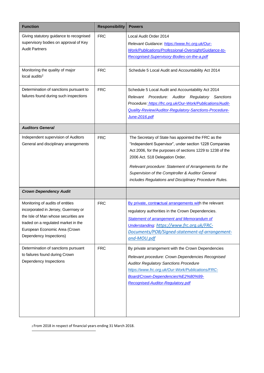| <b>Function</b>                                                                                                                                                                                                    | <b>Responsibility</b> | <b>Powers</b>                                                                                                                                                                                                                                                                                                                                                                         |
|--------------------------------------------------------------------------------------------------------------------------------------------------------------------------------------------------------------------|-----------------------|---------------------------------------------------------------------------------------------------------------------------------------------------------------------------------------------------------------------------------------------------------------------------------------------------------------------------------------------------------------------------------------|
| Giving statutory guidance to recognised<br>supervisory bodies on approval of Key<br><b>Audit Partners</b>                                                                                                          | <b>FRC</b>            | Local Audit Order 2014<br>Relevant Guidance: https://www.frc.org.uk/Our-<br>Work/Publications/Professional-Oversight/Guidance-to-<br>Recognised-Supervisory-Bodies-on-the-a.pdf                                                                                                                                                                                                       |
| Monitoring the quality of major<br>local audits <sup>2</sup>                                                                                                                                                       | <b>FRC</b>            | Schedule 5 Local Audit and Accountability Act 2014                                                                                                                                                                                                                                                                                                                                    |
| Determination of sanctions pursuant to<br>failures found during such inspections                                                                                                                                   | <b>FRC</b>            | Schedule 5 Local Audit and Accountability Act 2014<br>Relevant Procedure:<br>Auditor<br>Regulatory Sanctions<br>Procedure: https://frc.org.uk/Our-Work/Publications/Audit-<br>Quality-Review/Auditor-Regulatory-Sanctions-Procedure-<br>June-2016.pdf                                                                                                                                 |
| <b>Auditors General</b>                                                                                                                                                                                            |                       |                                                                                                                                                                                                                                                                                                                                                                                       |
| Independent supervision of Auditors<br>General and disciplinary arrangements                                                                                                                                       | <b>FRC</b>            | The Secretary of State has appointed the FRC as the<br>"Independent Supervisor", under section 1228 Companies<br>Act 2006, for the purposes of sections 1229 to 1238 of the<br>2006 Act. S18 Delegation Order.<br>Relevant procedure: Statement of Arrangements for the<br>Supervision of the Comptroller & Auditor General<br>includes Regulations and Disciplinary Procedure Rules. |
| <b>Crown Dependency Audit</b>                                                                                                                                                                                      |                       |                                                                                                                                                                                                                                                                                                                                                                                       |
| Monitoring of audits of entities<br>incorporated in Jersey, Guernsey or<br>the Isle of Man whose securities are<br>traded on a regulated market in the<br>European Economic Area (Crown<br>Dependency Inspections) | <b>FRC</b>            | By private, contractual arrangements with the relevant<br>regulatory authorities in the Crown Dependencies.<br><b>Statement of arrangement and Memorandum of</b><br>Understanding: https://www.frc.org.uk/FRC-<br>Documents/POB/Signed-statement-of-arrangement-<br>and-MOU.pdf                                                                                                       |
| Determination of sanctions pursuant<br>to failures found during Crown<br>Dependency Inspections                                                                                                                    | <b>FRC</b>            | By private arrangement with the Crown Dependencies<br>Relevant procedure: Crown Dependencies Recognised<br><b>Auditor Regulatory Sanctions Procedure</b><br>https://www.frc.org.uk/Our-Work/Publications/FRC-<br>Board/Crown-Dependencies%E2%80%99-<br>Recognised-Auditor-Regulatory.pdf                                                                                              |

2 From 2018 in respect of financial years ending 31 March 2018.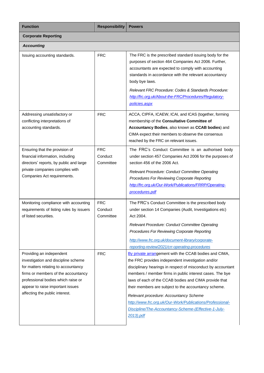| <b>Function</b>                                                                                                                                                                                                                                           | <b>Responsibility</b>              | <b>Powers</b>                                                                                                                                                                                                                                                                                                                                                                                                                                                                                                                       |
|-----------------------------------------------------------------------------------------------------------------------------------------------------------------------------------------------------------------------------------------------------------|------------------------------------|-------------------------------------------------------------------------------------------------------------------------------------------------------------------------------------------------------------------------------------------------------------------------------------------------------------------------------------------------------------------------------------------------------------------------------------------------------------------------------------------------------------------------------------|
| <b>Corporate Reporting</b>                                                                                                                                                                                                                                |                                    |                                                                                                                                                                                                                                                                                                                                                                                                                                                                                                                                     |
| <b>Accounting</b>                                                                                                                                                                                                                                         |                                    |                                                                                                                                                                                                                                                                                                                                                                                                                                                                                                                                     |
| Issuing accounting standards.                                                                                                                                                                                                                             | <b>FRC</b>                         | The FRC is the prescribed standard issuing body for the<br>purposes of section 464 Companies Act 2006. Further,<br>accountants are expected to comply with accounting<br>standards in accordance with the relevant accountancy<br>body bye laws.<br>Relevant FRC Procedure: Codes & Standards Procedure:<br>http://frc.org.uk/About-the-FRC/Procedures/Regulatory-<br>policies.aspx                                                                                                                                                 |
| Addressing unsatisfactory or<br>conflicting interpretations of<br>accounting standards.                                                                                                                                                                   | <b>FRC</b>                         | ACCA, CIPFA, ICAEW, ICAI, and ICAS (together, forming<br>membership of the Consultative Committee of<br>Accountancy Bodies, also known as CCAB bodies) and<br>CIMA expect their members to observe the consensus<br>reached by the FRC on relevant issues.                                                                                                                                                                                                                                                                          |
| Ensuring that the provision of<br>financial information, including<br>directors' reports, by public and large<br>private companies complies with<br>Companies Act requirements.                                                                           | <b>FRC</b><br>Conduct<br>Committee | The FRC's Conduct Committee is an authorised body<br>under section 457 Companies Act 2006 for the purposes of<br>section 456 of the 2006 Act.<br>Relevant Procedure: Conduct Committee Operating<br>Procedures For Reviewing Corporate Reporting<br>http://frc.org.uk/Our-Work/Publications/FRRP/Operating-<br>procedures.pdf                                                                                                                                                                                                       |
| Monitoring compliance with accounting<br>requirements of listing rules by issuers<br>of listed securities.                                                                                                                                                | <b>FRC</b><br>Conduct<br>Committee | The FRC's Conduct Committee is the prescribed body<br>under section 14 Companies (Audit, Investigations etc)<br>Act 2004.<br>Relevant Procedure: Conduct Committee Operating<br>Procedures For Reviewing Corporate Reporting<br>http://www.frc.org.uk/document-library/corporate-<br>reporting-review/2021/crr-operating-procedures                                                                                                                                                                                                 |
| Providing an independent<br>investigation and discipline scheme<br>for matters relating to accountancy<br>firms or members of the accountancy<br>professional bodies which raise or<br>appear to raise important issues<br>affecting the public interest. | <b>FRC</b>                         | By private arrangement with the CCAB bodies and CIMA,<br>the FRC provides independent investigation and/or<br>disciplinary hearings in respect of misconduct by accountant<br>members / member firms in public interest cases. The bye<br>laws of each of the CCAB bodies and CIMA provide that<br>their members are subject to the accountancy scheme.<br>Relevant procedure: Accountancy Scheme<br>http://www.frc.org.uk/Our-Work/Publications/Professional-<br>Discipline/The-Accountancy-Scheme-(Effective-1-July-<br>2013).pdf |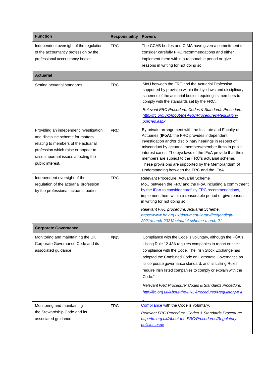| <b>Function</b>                                                                                                                                                                                                        | <b>Responsibility</b> | <b>Powers</b>                                                                                                                                                                                                                                                                                                                                                                                                                                                                                       |
|------------------------------------------------------------------------------------------------------------------------------------------------------------------------------------------------------------------------|-----------------------|-----------------------------------------------------------------------------------------------------------------------------------------------------------------------------------------------------------------------------------------------------------------------------------------------------------------------------------------------------------------------------------------------------------------------------------------------------------------------------------------------------|
| Independent oversight of the regulation<br>of the accountancy profession by the<br>professional accountancy bodies.                                                                                                    | <b>FRC</b>            | The CCAB bodies and CIMA have given a commitment to<br>consider carefully FRC recommendations and either<br>implement them within a reasonable period or give<br>reasons in writing for not doing so.                                                                                                                                                                                                                                                                                               |
| <b>Actuarial</b>                                                                                                                                                                                                       |                       |                                                                                                                                                                                                                                                                                                                                                                                                                                                                                                     |
| Setting actuarial standards.                                                                                                                                                                                           | <b>FRC</b>            | MoU between the FRC and the Actuarial Profession<br>supported by provision within the bye laws and disciplinary<br>schemes of the actuarial bodies requiring its members to<br>comply with the standards set by the FRC.<br>Relevant FRC Procedure: Codes & Standards Procedure:<br>http://frc.org.uk/About-the-FRC/Procedures/Regulatory-                                                                                                                                                          |
|                                                                                                                                                                                                                        |                       | policies.aspx                                                                                                                                                                                                                                                                                                                                                                                                                                                                                       |
| Providing an independent investigation<br>and discipline scheme for matters<br>relating to members of the actuarial<br>profession which raise or appear to<br>raise important issues affecting the<br>public interest. | <b>FRC</b>            | By private arrangement with the Institute and Faculty of<br>Actuaries (IFoA), the FRC provides independent<br>investigation and/or disciplinary hearings in respect of<br>misconduct by actuarial members/member firms in public<br>interest cases. The bye laws of the IFoA provide that their<br>members are subject to the FRC's actuarial scheme.<br>These provisions are supported by the Memorandum of<br>Understanding between the FRC and the IFoA.                                         |
| Independent oversight of the<br>regulation of the actuarial profession<br>by the professional actuarial bodies.                                                                                                        | <b>FRC</b>            | Relevant Procedure: Actuarial Scheme<br>MoU between the FRC and the IFoA including a commitment<br>by the IFoA to consider carefully FRC recommendations.<br>implement them within a reasonable period or give reasons<br>in writing for not doing so.                                                                                                                                                                                                                                              |
|                                                                                                                                                                                                                        |                       | Relevant FRC procedure: Actuarial Scheme,<br>https://www.frc.org.uk/document-library/frc/gandl/glt-<br>2021/march-2021/actuarial-scheme-march-21                                                                                                                                                                                                                                                                                                                                                    |
| <b>Corporate Governance</b>                                                                                                                                                                                            |                       |                                                                                                                                                                                                                                                                                                                                                                                                                                                                                                     |
| Monitoring and maintaining the UK<br>Corporate Governance Code and its<br>associated guidance                                                                                                                          | <b>FRC</b>            | Compliance with the Code is voluntary, although the FCA's<br>Listing Rule 12.43A requires companies to report on their<br>compliance with the Code. The Irish Stock Exchange has<br>adopted the Combined Code on Corporate Governance as<br>its corporate governance standard, and its Listing Rules<br>require Irish listed companies to comply or explain with the<br>Code."<br>Relevant FRC Procedure: Codes & Standards Procedure:<br>http://frc.org.uk/About-the-FRC/Procedures/Regulatory-pli |
| Monitoring and maintaining<br>the Stewardship Code and its<br>associated guidance                                                                                                                                      | <b>FRC</b>            | Compliance with the Code is voluntary.<br>Relevant FRC Procedure: Codes & Standards Procedure:<br>http://frc.org.uk/About-the-FRC/Procedures/Regulatory-<br>policies.aspx                                                                                                                                                                                                                                                                                                                           |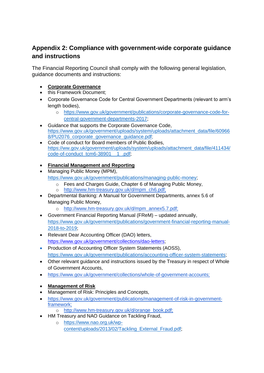# **Appendix 2: Compliance with government-wide corporate guidance and instructions**

The Financial Reporting Council shall comply with the following general legislation, guidance documents and instructions:

- **Corporate Governance**
- this Framework Document;
- Corporate Governance Code for Central Government Departments (relevant to arm's length bodies),
	- o [https://www.gov.uk/government/publications/corporate-governance-code-for](https://www.gov.uk/government/publications/corporate-governance-code-for-central-government-departments-2017)[central-government-departments-2017;](https://www.gov.uk/government/publications/corporate-governance-code-for-central-government-departments-2017)
- Guidance that supports the Corporate Governance Code, [https://www.gov.uk/government/uploads/system/uploads/attachment\\_data/file/60966](https://www.gov.uk/government/uploads/system/uploads/attachment_data/file/609668/PU2076_corporate_governance_guidance.pdf) 8/PU2076 corporate governance quidance.pdf;
- Code of conduct for Board members of Public Bodies, [https://ww.gov.uk/government/uploads/system/uploads/attachment\\_data/file/411434/](https://ww.gov.uk/government/uploads/system/uploads/attachment_data/file/411434/code-of-conduct_tcm6-38901__1_.pdf) code-of-conduct\_tcm6-38901\_1\_.pdf;
- **Financial Management and Reporting**
- Managing Public Money (MPM), [https://www.gov.uk/government/publications/managing-public-money;](https://www.gov.uk/government/publications/managing-public-money)
	- o Fees and Charges Guide, Chapter 6 of Managing Public Money,
	- o [http://www.hm-treasury.gov.uk/d/mpm\\_ch6.pdf;](http://www.hm-treasury.gov.uk/d/mpm_ch6.pdf)
- Departmental Banking: A Manual for Government Departments, annex 5.6 of Managing Public Money,
	- o [http://www.hm-treasury.gov.uk/d/mpm\\_annex5.7.pdf;](http://www.hm-treasury.gov.uk/d/mpm_annex5.7.pdf)
- Government Financial Reporting Manual (FReM) updated annually, [https://www.gov.uk/government/publications/government-financial-reporting-manual-](https://www.gov.uk/government/publications/government-financial-reporting-manual-2018-to-2019)[2018-to-2019;](https://www.gov.uk/government/publications/government-financial-reporting-manual-2018-to-2019)
- Relevant Dear Accounting Officer (DAO) letters, [https://www.gov.uk/government/collections/dao-letters;](https://www.gov.uk/government/collections/dao-letters)
- Production of Accounting Officer System Statements (AOSS), [https://www.gov.uk/government/publications/accounting-officer-system-statements;](https://www.gov.uk/government/publications/accounting-officer-system-statements)
- Other relevant guidance and instructions issued by the Treasury in respect of Whole of Government Accounts,
- [https://www.gov.uk/government/collections/whole-of-government-accounts;](https://www.gov.uk/government/collections/whole-of-government-accounts)
- **Management of Risk**
- Management of Risk: Principles and Concepts,
- [https://www.gov.uk/government/publications/management-of-risk-in-government](https://www.gov.uk/government/publications/management-of-risk-in-government-framework)[framework;](https://www.gov.uk/government/publications/management-of-risk-in-government-framework)
	- o [http://www.hm-treasury.gov.uk/d/orange\\_book.pdf;](http://www.hm-treasury.gov.uk/d/orange_book.pdf)
- HM Treasury and NAO Guidance on Tackling Fraud,
	- o [https://www.nao.org.uk/wp](https://www.nao.org.uk/wp-content/uploads/2013/02/Tackling_External_Fraud.pdf)[content/uploads/2013/02/Tackling\\_External\\_Fraud.pdf;](https://www.nao.org.uk/wp-content/uploads/2013/02/Tackling_External_Fraud.pdf)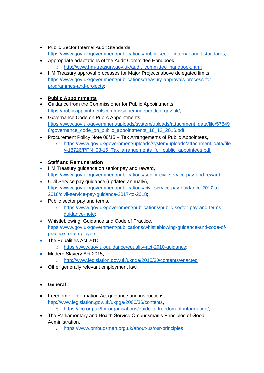- Public Sector Internal Audit Standards, [https://www.gov.uk/government/publications/public-sector-internal-audit-standards;](https://www.gov.uk/government/publications/public-sector-internal-audit-standards)
- Appropriate adaptations of the Audit Committee Handbook, [http://www.hm-treasury.gov.uk/audit\\_committee\\_handbook.htm;](http://www.hm-treasury.gov.uk/audit_committee_handbook.htm)
- HM Treasury approval processes for Major Projects above delegated limits, [https://www.gov.uk/government/publications/treasury-approvals-process-for](https://www.gov.uk/government/publications/treasury-approvals-process-for-programmes-and-projects)[programmes-and-projects;](https://www.gov.uk/government/publications/treasury-approvals-process-for-programmes-and-projects)

# • **Public Appointments**

- Guidance from the Commissioner for Public Appointments, [https://publicappointmentscommissioner.independent.gov.uk/;](https://publicappointmentscommissioner.independent.gov.uk/)
- Governance Code on Public Appointments, [https://www.gov.uk/government/uploads/system/uploads/attachment\\_data/file/57849](https://www.gov.uk/government/uploads/system/uploads/attachment_data/file/578498/governance_code_on_public_appointments_16_12_2016.pdf) 8/governance code on public appointments 16 12 2016.pdf;
- Procurement Policy Note 08/15 Tax Arrangements of Public Appointees,
	- o [https://www.gov.uk/government/uploads/system/uploads/attachment\\_data/file](https://www.gov.uk/government/uploads/system/uploads/attachment_data/file/418726/PPN_08-15_Tax_arrangements_for_public_appointees.pdf) [/418726/PPN\\_08-15\\_Tax\\_arrangements\\_for\\_public\\_appointees.pdf;](https://www.gov.uk/government/uploads/system/uploads/attachment_data/file/418726/PPN_08-15_Tax_arrangements_for_public_appointees.pdf)

# • **Staff and Remuneration**

- HM Treasury guidance on senior pay and reward, [https://www.gov.uk/government/publications/senior-civil-service-pay-and-reward;](https://www.gov.uk/government/publications/senior-civil-service-pay-and-reward)
- Civil Service pay guidance (updated annually), [https://www.gov.uk/government/publications/civil-service-pay-guidance-2017-to-](https://www.gov.uk/government/publications/civil-service-pay-guidance-2017-to-2018/civil-service-pay-guidance-2017-to-2018)[2018/civil-service-pay-guidance-2017-to-2018;](https://www.gov.uk/government/publications/civil-service-pay-guidance-2017-to-2018/civil-service-pay-guidance-2017-to-2018)
- Public sector pay and terms,
	- o [https://www.gov.uk/government/publications/public-sector-pay-and-terms](https://www.gov.uk/government/publications/public-sector-pay-and-terms-guidance-note)[guidance-note;](https://www.gov.uk/government/publications/public-sector-pay-and-terms-guidance-note)
- Whistleblowing Guidance and Code of Practice, [https://www.gov.uk/government/publications/whistleblowing-guidance-and-code-of](https://www.gov.uk/government/publications/whistleblowing-guidance-and-code-of-practice-for-employers)[practice-for-employers;](https://www.gov.uk/government/publications/whistleblowing-guidance-and-code-of-practice-for-employers)
- The Equalities Act 2010,

o [https://www.gov.uk/guidance/equality-act-2010-guidance;](https://www.gov.uk/guidance/equality-act-2010-guidance)

- Modern Slavery Act 2015**,**
	- o <http://www.legislation.gov.uk/ukpga/2015/30/contents/enacted>
- Other generally relevant employment law.

# • **General**

- Freedom of Information Act guidance and instructions, [http://www.legislation.gov.uk/ukpga/2000/36/contents,](http://www.legislation.gov.uk/ukpga/2000/36/contents) o [https://ico.org.uk/for-organisations/guide-to-freedom-of-information/;](https://ico.org.uk/for-organisations/guide-to-freedom-of-information/)
- The Parliamentary and Health Service Ombudsman's Principles of Good Administration,
	- o <https://www.ombudsman.org.uk/about-us/our-principles>